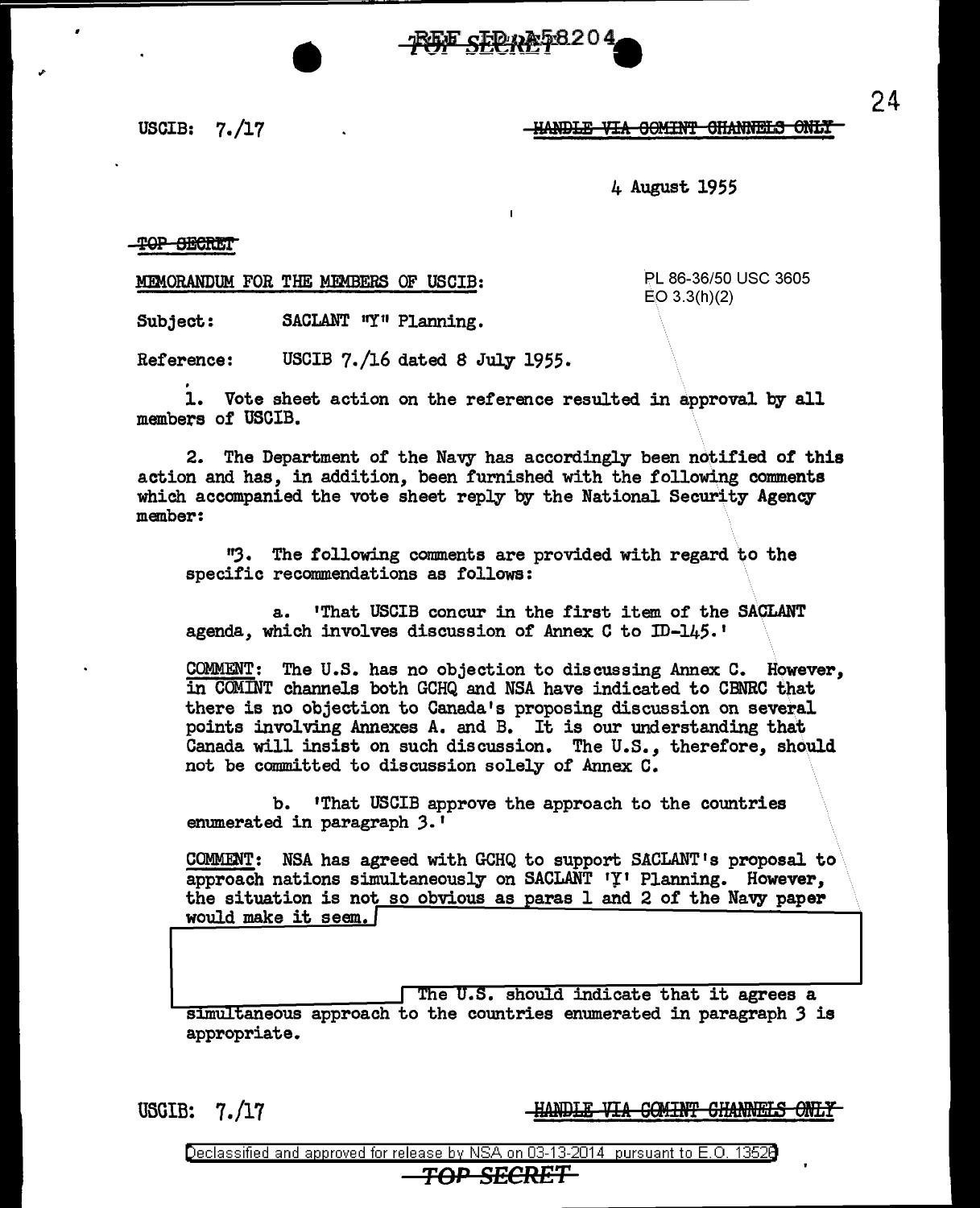~st~~20~ =-------- •

,,. • USCIB: 7./17

**-HANDLE VIA GOMINT CHANNELS ONLY** 

4 August 1955

T<del>OP SECRET</del>

MEMORANDUM FOR THE MEMBERS OF USCIB: PL 86-36/50 USC 3605

EO 3.3(h)(2)

Subject: SACLANT "Y" Planning.

Reference: USCIB 7./16 dated 8 July 1955.

1. Vote sheet action on the reference resulted in approval by all members of USCIB.

2. The Department of the Navy has accordingly been notified of this action and has, in addition, been furnished with the following comments which accompanied the vote sheet reply by the National Security Agency member:

''3· The following comments are provided with regard to the specific recommendations as follows:

a.. 'That USCIB concur in the first item of the SACLANT agenda, which involves discussion of Annex C to ID-145.'

COMMENT: The U.S. has no objection to discussing Annex C. However, in COMINT channels both GCHQ and NSA have indicated to CBNRC that there is no objection to Canada's proposing discussion on several points involving Annexes A. and B. It is our understanding that Canada will insist on such discussion. The U.S., therefore, should not be committed to discussion solely of Annex C.

b. 'That USCIB approve the approach to the countries enumerated in paragraph *3.1* 

COMMENT: NSA has agreed with GCHQ to support SACLANT's proposal to approach nations simultaneously on SACLANT 'Y' Planning. However, the situation is not so obvious as paras 1 and 2 of the Navy paper would make it seem.

The U.S. should indicate that it agrees a simultaneous approach to the countries enumerated in paragraph 3 is appropriate.

U5GIB: 7./17

**-HANDLE VIA COMINT CHANNELS ONLY** 

Declassified and approved for release by NSA on 03-13-2014 pursuant to E. 0. 1352B

## *TOP SECRET*